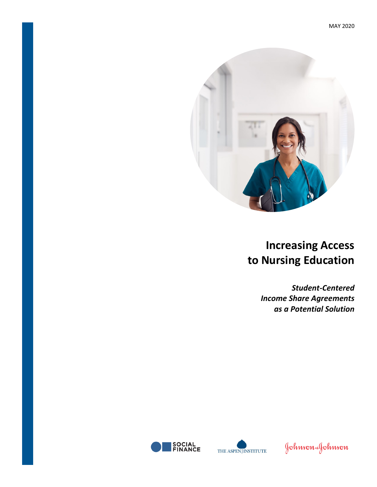

# **Increasing Access to Nursing Education**

*Student-Centered Income Share Agreements as a Potential Solution*





Johnson&Johnson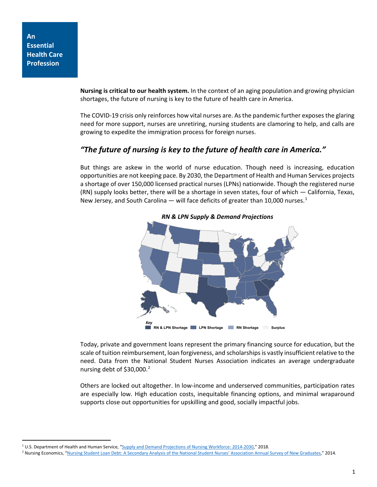**An Essential Health Care Profession**

> **Nursing is critical to our health system.** In the context of an aging population and growing physician shortages, the future of nursing is key to the future of health care in America.

> The COVID-19 crisis only reinforces how vital nurses are. As the pandemic further exposes the glaring need for more support, nurses are unretiring, nursing students are clamoring to help, and calls are growing to expedite the immigration process for foreign nurses.

## *"The future of nursing is key to the future of health care in America."*

But things are askew in the world of nurse education. Though need is increasing, education opportunities are not keeping pace. By 2030, the Department of Health and Human Services projects a shortage of over 150,000 licensed practical nurses (LPNs) nationwide. Though the registered nurse (RN) supply looks better, there will be a shortage in seven states, four of which — California, Texas, New Jersey, and South Carolina — will face deficits of greater than [1](#page-1-0)0,000 nurses.<sup>1</sup>



*RN & LPN Supply & Demand Projections*

Today, private and government loans represent the primary financing source for education, but the scale of tuition reimbursement, loan forgiveness, and scholarships is vastly insufficient relative to the need. Data from the National Student Nurses Association indicates an average undergraduate nursing debt of  $$30,000.<sup>2</sup>$  $$30,000.<sup>2</sup>$  $$30,000.<sup>2</sup>$ 

Others are locked out altogether. In low-income and underserved communities, participation rates are especially low. High education costs, inequitable financing options, and minimal wraparound supports close out opportunities for upskilling and good, socially impactful jobs.

<span id="page-1-0"></span><sup>&</sup>lt;sup>1</sup> U.S. Department of Health and Human Service, ["Supply and Demand Projections of Nursing Workforce: 2014-2030,](https://bhw.hrsa.gov/sites/default/files/bhw/nchwa/projections/NCHWA_HRSA_Nursing_Report.pdf)" 2018.

<span id="page-1-1"></span><sup>&</sup>lt;sup>2</sup> Nursing Economics, ["Nursing Student Loan Debt: A Secondary Analysis of the National Student Nurses' Association Annual Survey of New Graduates,"](https://www.ncbi.nlm.nih.gov/pubmed/26267967) 2014.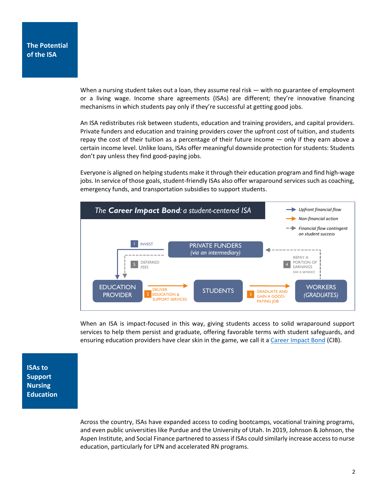When a nursing student takes out a loan, they assume real risk — with no guarantee of employment or a living wage. Income share agreements (ISAs) are different; they're innovative financing mechanisms in which students pay only if they're successful at getting good jobs.

An ISA redistributes risk between students, education and training providers, and capital providers. Private funders and education and training providers cover the upfront cost of tuition, and students repay the cost of their tuition as a percentage of their future income — only if they earn above a certain income level. Unlike loans, ISAs offer meaningful downside protection for students: Students don't pay unless they find good-paying jobs.

Everyone is aligned on helping students make it through their education program and find high-wage jobs. In service of those goals, student-friendly ISAs also offer wraparound services such as coaching, emergency funds, and transportation subsidies to support students.



When an ISA is impact-focused in this way, giving students access to solid wraparound support services to help them persist and graduate, offering favorable terms with student safeguards, and ensuring education providers have clear skin in the game, we call it a [Career Impact Bond](https://socialfinance.org/career-impact-bonds/) (CIB).

**ISAs to Support Nursing Education**

> Across the country, ISAs have expanded access to coding bootcamps, vocational training programs, and even public universities like Purdue and the University of Utah. In 2019, Johnson & Johnson, the Aspen Institute, and Social Finance partnered to assess if ISAs could similarly increase access to nurse education, particularly for LPN and accelerated RN programs.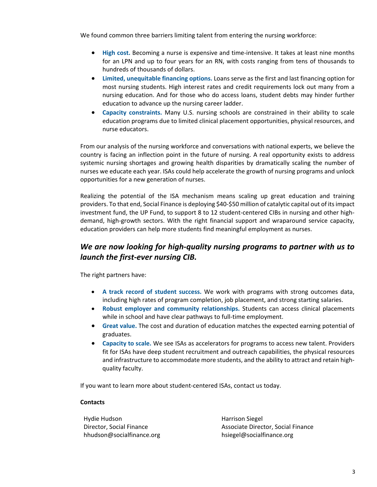We found common three barriers limiting talent from entering the nursing workforce:

- **High cost.** Becoming a nurse is expensive and time-intensive. It takes at least nine months for an LPN and up to four years for an RN, with costs ranging from tens of thousands to hundreds of thousands of dollars.
- **Limited, unequitable financing options.** Loans serve as the first and last financing option for most nursing students. High interest rates and credit requirements lock out many from a nursing education. And for those who do access loans, student debts may hinder further education to advance up the nursing career ladder.
- **Capacity constraints.** Many U.S. nursing schools are constrained in their ability to scale education programs due to limited clinical placement opportunities, physical resources, and nurse educators.

From our analysis of the nursing workforce and conversations with national experts, we believe the country is facing an inflection point in the future of nursing. A real opportunity exists to address systemic nursing shortages and growing health disparities by dramatically scaling the number of nurses we educate each year. ISAs could help accelerate the growth of nursing programs and unlock opportunities for a new generation of nurses.

Realizing the potential of the ISA mechanism means scaling up great education and training providers. To that end, Social Finance is deploying \$40-\$50 million of catalytic capital out of its impact investment fund, the UP Fund, to support 8 to 12 student-centered CIBs in nursing and other highdemand, high-growth sectors. With the right financial support and wraparound service capacity, education providers can help more students find meaningful employment as nurses.

## *We are now looking for high-quality nursing programs to partner with us to launch the first-ever nursing CIB.*

The right partners have:

- **A track record of student success.** We work with programs with strong outcomes data, including high rates of program completion, job placement, and strong starting salaries.
- **Robust employer and community relationships.** Students can access clinical placements while in school and have clear pathways to full-time employment.
- **Great value.** The cost and duration of education matches the expected earning potential of graduates.
- **Capacity to scale.** We see ISAs as accelerators for programs to access new talent. Providers fit for ISAs have deep student recruitment and outreach capabilities, the physical resources and infrastructure to accommodate more students, and the ability to attract and retain highquality faculty.

If you want to learn more about student-centered ISAs, contact us today.

### **Contacts**

Hydie Hudson Director, Social Finance hhudson@socialfinance.org

Harrison Siegel Associate Director, Social Finance hsiegel@socialfinance.org